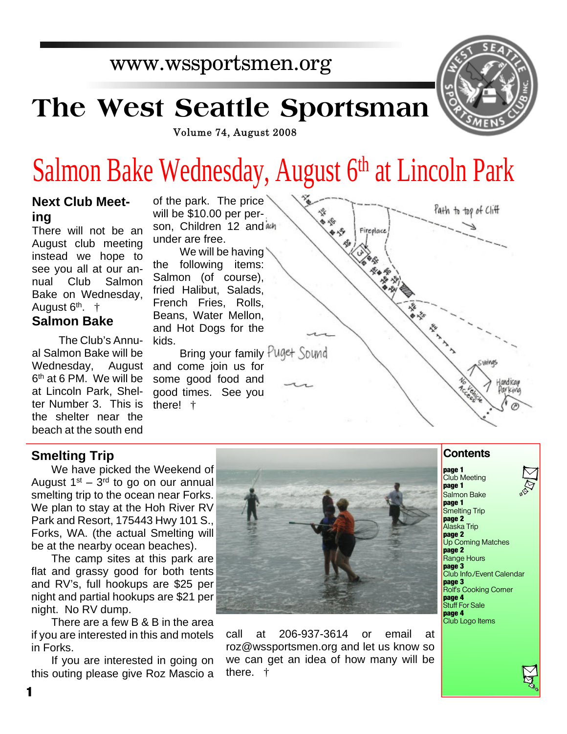# www.wssportsmen.org

# **The West Seattle Sportsman**



Volume 74, August 2008

# Salmon Bake Wednesday, August 6<sup>th</sup> at Lincoln Park

#### **Next Club Meeting**

There will not be an August club meeting instead we hope to see you all at our annual Club Salmon Bake on Wednesday, August 6<sup>th</sup>. †

#### **Salmon Bake**

The Club's Annual Salmon Bake will be Wednesday, August 6 th at 6 PM. We will be at Lincoln Park, Shelter Number 3. This is the shelter near the beach at the south end

of the park. The price will be \$10.00 per person, Children 12 and ach under are free.

We will be having the following items: Salmon (of course), fried Halibut, Salads, French Fries, Rolls, Beans, Water Mellon, and Hot Dogs for the kids.

Bring your family Puget Sound and come join us for some good food and good times. See you there! †



#### **Smelting Trip**

We have picked the Weekend of August  $1<sup>st</sup> - 3<sup>rd</sup>$  to go on our annual smelting trip to the ocean near Forks. We plan to stay at the Hoh River RV Park and Resort, 175443 Hwy 101 S., Forks, WA. (the actual Smelting will be at the nearby ocean beaches).

The camp sites at this park are flat and grassy good for both tents and RV's, full hookups are \$25 per night and partial hookups are \$21 per night. No RV dump.

There are a few B & B in the area if you are interested in this and motels in Forks.

If you are interested in going on this outing please give Roz Mascio a



call at 206-937-3614 or email at roz@wssportsmen.org and let us know so we can get an idea of how many will be there. †

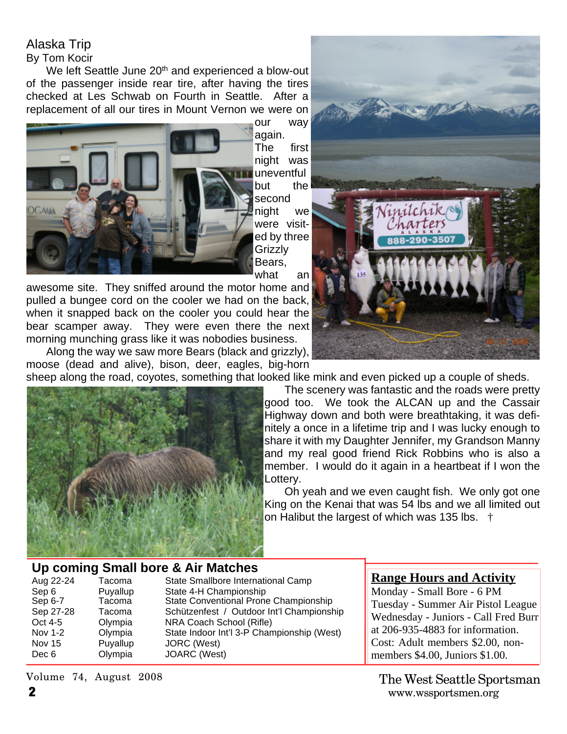## Alaska Trip

#### By Tom Kocir

We left Seattle June 20<sup>th</sup> and experienced a blow-out of the passenger inside rear tire, after having the tires checked at Les Schwab on Fourth in Seattle. After a replacement of all our tires in Mount Vernon we were on



our way

again. The first night was uneventful but the second night we were visited by three Grizzly Bears, what an

awesome site. They sniffed around the motor home and pulled a bungee cord on the cooler we had on the back, when it snapped back on the cooler you could hear the bear scamper away. They were even there the next morning munching grass like it was nobodies business.

Along the way we saw more Bears (black and grizzly), moose (dead and alive), bison, deer, eagles, big-horn



sheep along the road, coyotes, something that looked like mink and even picked up a couple of sheds.



The scenery was fantastic and the roads were pretty good too. We took the ALCAN up and the Cassair Highway down and both were breathtaking, it was definitely a once in a lifetime trip and I was lucky enough to share it with my Daughter Jennifer, my Grandson Manny and my real good friend Rick Robbins who is also a member. I would do it again in a heartbeat if I won the Lottery.

Oh yeah and we even caught fish. We only got one King on the Kenai that was 54 lbs and we all limited out on Halibut the largest of which was 135 lbs. †

#### **Up coming Small bore & Air Matches**

| Tacoma   | State Smallbore International Camp         |
|----------|--------------------------------------------|
| Puyallup | State 4-H Championship                     |
| Tacoma   | State Conventional Prone Championship      |
| Tacoma   | Schützenfest / Outdoor Int'l Championship  |
| Olympia  | NRA Coach School (Rifle)                   |
| Olympia  | State Indoor Int'l 3-P Championship (West) |
| Puyallup | JORC (West)                                |
| Olympia  | JOARC (West)                               |
|          |                                            |

#### **Range Hours and Activity**

Monday - Small Bore - 6 PM Tuesday - Summer Air Pistol League Wednesday - Juniors - Call Fred Burr at 206-935-4883 for information. Cost: Adult members \$2.00, nonmembers \$4.00, Juniors \$1.00.

**2** www.wssportsmen.org The West Seattle Sportsman

Volume 74, August 2008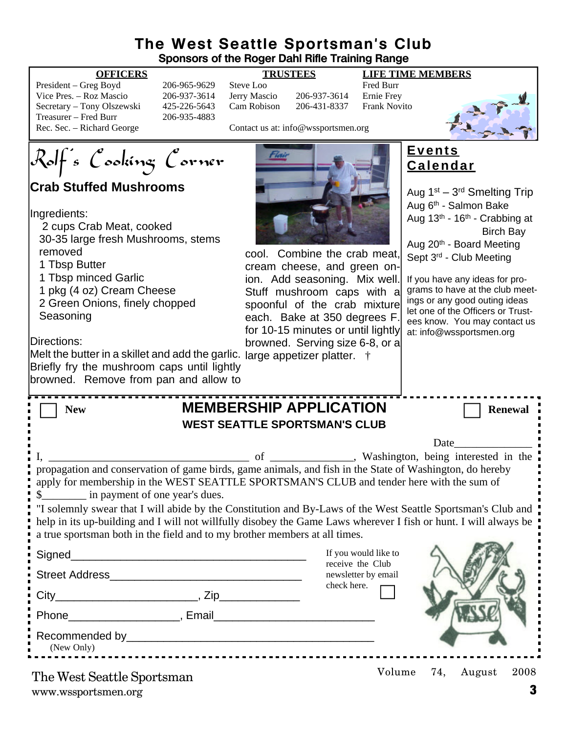#### **The West Seattle Sportsman's Club Sponsors of the Roger Dahl Rifle Training Range**

#### **OFFICERS TRUSTEES LIFE TIME MEMBERS**

| President – Greg Boyd      |   |
|----------------------------|---|
| Vice Pres. - Roz Mascio    |   |
| Secretary – Tony Olszewski | Ϊ |
| Treasurer – Fred Burr      |   |
| Rec. Sec. – Richard George |   |

President – President – Greg Boyd 206-965-9629 Steve Loo Fred Burr 206-937-3614 Jerry Mascio 206-937-3614 Ernie Frey 125-226-5643 Cam Robison 206-431-8337 Frank Novito 206-935-4883

Contact us at: info@wssportsmen.org



**Crab Stuffed Mushrooms**

Ingredients:

 2 cups Crab Meat, cooked 30-35 large fresh Mushrooms, stems removed

1 Tbsp Butter

1 Tbsp minced Garlic

1 pkg (4 oz) Cream Cheese

 2 Green Onions, finely chopped **Seasoning** 

Directions:

Melt the butter in a skillet and add the garlic. large appetizer platter. † Briefly fry the mushroom caps until lightly browned. Remove from pan and allow to



cool. Combine the crab meat, cream cheese, and green onion. Add seasoning. Mix well. Stuff mushroom caps with a spoonful of the crab mixture each. Bake at 350 degrees F. for 10-15 minutes or until lightly browned. Serving size 6-8, or a

#### **Events Calendar**

Aug 1<sup>st</sup> – 3<sup>rd</sup> Smelting Trip Aug 6th - Salmon Bake Aug 13th - 16th - Crabbing at Birch Bay Aug 20<sup>th</sup> - Board Meeting Sept 3<sup>rd</sup> - Club Meeting

If you have any ideas for programs to have at the club meetings or any good outing ideas let one of the Officers or Trustees know. You may contact us at: info@wssportsmen.org

| <b>MEMBERSHIP APPLICATION</b><br><b>New</b><br><b>WEST SEATTLE SPORTSMAN'S CLUB</b>                              | <b>Renewal</b>                     |  |  |
|------------------------------------------------------------------------------------------------------------------|------------------------------------|--|--|
|                                                                                                                  |                                    |  |  |
|                                                                                                                  | <b>Date</b> and <b>Date</b>        |  |  |
|                                                                                                                  |                                    |  |  |
| propagation and conservation of game birds, game animals, and fish in the State of Washington, do hereby         |                                    |  |  |
| apply for membership in the WEST SEATTLE SPORTSMAN'S CLUB and tender here with the sum of                        |                                    |  |  |
| \$___________ in payment of one year's dues.                                                                     |                                    |  |  |
| "I solemnly swear that I will abide by the Constitution and By-Laws of the West Seattle Sportsman's Club and     |                                    |  |  |
| help in its up-building and I will not willfully disobey the Game Laws wherever I fish or hunt. I will always be |                                    |  |  |
| a true sportsman both in the field and to my brother members at all times.                                       |                                    |  |  |
|                                                                                                                  |                                    |  |  |
|                                                                                                                  | If you would like to               |  |  |
|                                                                                                                  | receive the Club                   |  |  |
|                                                                                                                  | newsletter by email<br>check here. |  |  |
|                                                                                                                  |                                    |  |  |
|                                                                                                                  |                                    |  |  |
|                                                                                                                  |                                    |  |  |
|                                                                                                                  |                                    |  |  |
| (New Only)                                                                                                       |                                    |  |  |
|                                                                                                                  |                                    |  |  |
|                                                                                                                  | Volume 74, August<br>2008          |  |  |
| The West Seattle Sportsman                                                                                       |                                    |  |  |